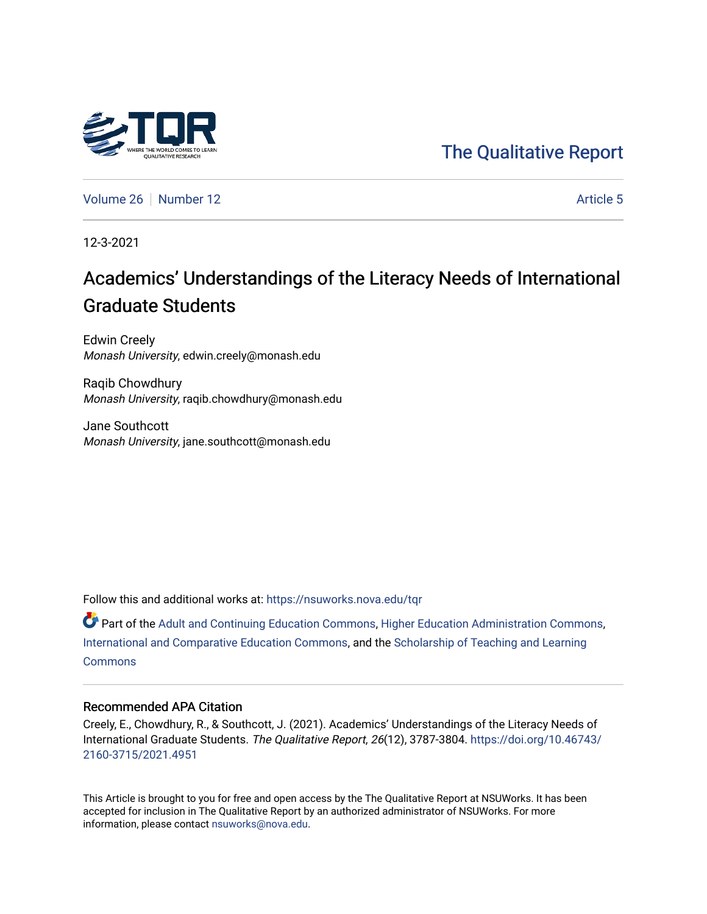# [The Qualitative Report](https://nsuworks.nova.edu/tqr)

[Volume 26](https://nsuworks.nova.edu/tqr/vol26) [Number 12](https://nsuworks.nova.edu/tqr/vol26/iss12) Article 5

12-3-2021

# Academics' Understandings of the Literacy Needs of International Graduate Students

Edwin Creely Monash University, edwin.creely@monash.edu

Raqib Chowdhury Monash University, raqib.chowdhury@monash.edu

Jane Southcott Monash University, jane.southcott@monash.edu

Follow this and additional works at: [https://nsuworks.nova.edu/tqr](https://nsuworks.nova.edu/tqr?utm_source=nsuworks.nova.edu%2Ftqr%2Fvol26%2Fiss12%2F5&utm_medium=PDF&utm_campaign=PDFCoverPages) 

Part of the [Adult and Continuing Education Commons,](http://network.bepress.com/hgg/discipline/1375?utm_source=nsuworks.nova.edu%2Ftqr%2Fvol26%2Fiss12%2F5&utm_medium=PDF&utm_campaign=PDFCoverPages) [Higher Education Administration Commons](http://network.bepress.com/hgg/discipline/791?utm_source=nsuworks.nova.edu%2Ftqr%2Fvol26%2Fiss12%2F5&utm_medium=PDF&utm_campaign=PDFCoverPages), [International and Comparative Education Commons](http://network.bepress.com/hgg/discipline/797?utm_source=nsuworks.nova.edu%2Ftqr%2Fvol26%2Fiss12%2F5&utm_medium=PDF&utm_campaign=PDFCoverPages), and the [Scholarship of Teaching and Learning](http://network.bepress.com/hgg/discipline/1328?utm_source=nsuworks.nova.edu%2Ftqr%2Fvol26%2Fiss12%2F5&utm_medium=PDF&utm_campaign=PDFCoverPages) **[Commons](http://network.bepress.com/hgg/discipline/1328?utm_source=nsuworks.nova.edu%2Ftqr%2Fvol26%2Fiss12%2F5&utm_medium=PDF&utm_campaign=PDFCoverPages)** 

### Recommended APA Citation

Creely, E., Chowdhury, R., & Southcott, J. (2021). Academics' Understandings of the Literacy Needs of International Graduate Students. The Qualitative Report, 26(12), 3787-3804. [https://doi.org/10.46743/](https://doi.org/10.46743/2160-3715/2021.4951) [2160-3715/2021.4951](https://doi.org/10.46743/2160-3715/2021.4951)

This Article is brought to you for free and open access by the The Qualitative Report at NSUWorks. It has been accepted for inclusion in The Qualitative Report by an authorized administrator of NSUWorks. For more information, please contact [nsuworks@nova.edu.](mailto:nsuworks@nova.edu)

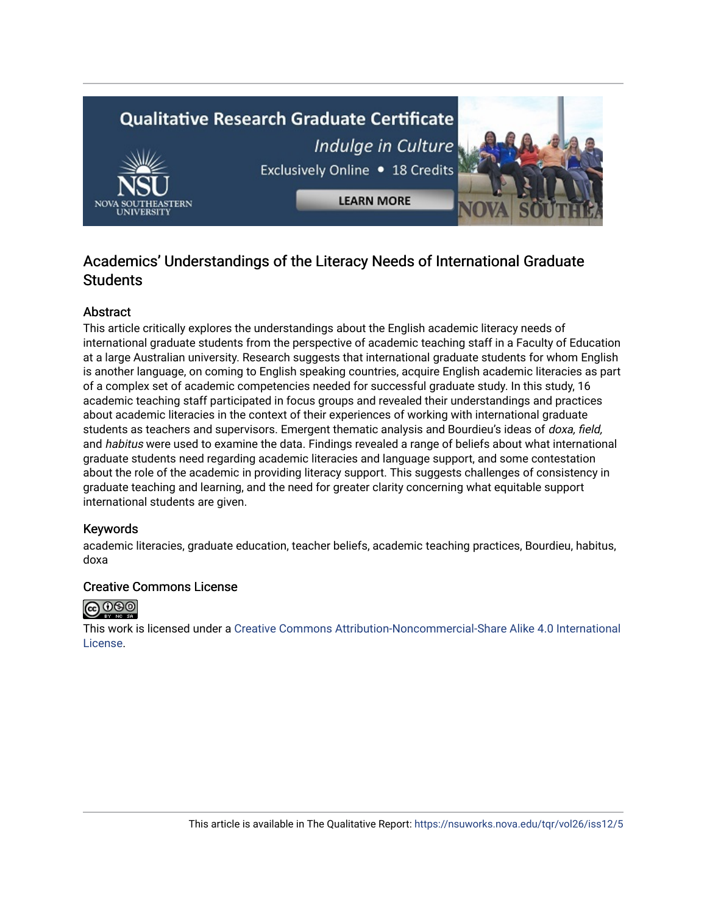# **Qualitative Research Graduate Certificate** Indulge in Culture Exclusively Online . 18 Credits **LEARN MORE**

# Academics' Understandings of the Literacy Needs of International Graduate **Students**

# Abstract

This article critically explores the understandings about the English academic literacy needs of international graduate students from the perspective of academic teaching staff in a Faculty of Education at a large Australian university. Research suggests that international graduate students for whom English is another language, on coming to English speaking countries, acquire English academic literacies as part of a complex set of academic competencies needed for successful graduate study. In this study, 16 academic teaching staff participated in focus groups and revealed their understandings and practices about academic literacies in the context of their experiences of working with international graduate students as teachers and supervisors. Emergent thematic analysis and Bourdieu's ideas of doxa, field, and habitus were used to examine the data. Findings revealed a range of beliefs about what international graduate students need regarding academic literacies and language support, and some contestation about the role of the academic in providing literacy support. This suggests challenges of consistency in graduate teaching and learning, and the need for greater clarity concerning what equitable support international students are given.

# Keywords

academic literacies, graduate education, teacher beliefs, academic teaching practices, Bourdieu, habitus, doxa

# Creative Commons License



This work is licensed under a [Creative Commons Attribution-Noncommercial-Share Alike 4.0 International](https://creativecommons.org/licenses/by-nc-sa/4.0/)  [License](https://creativecommons.org/licenses/by-nc-sa/4.0/).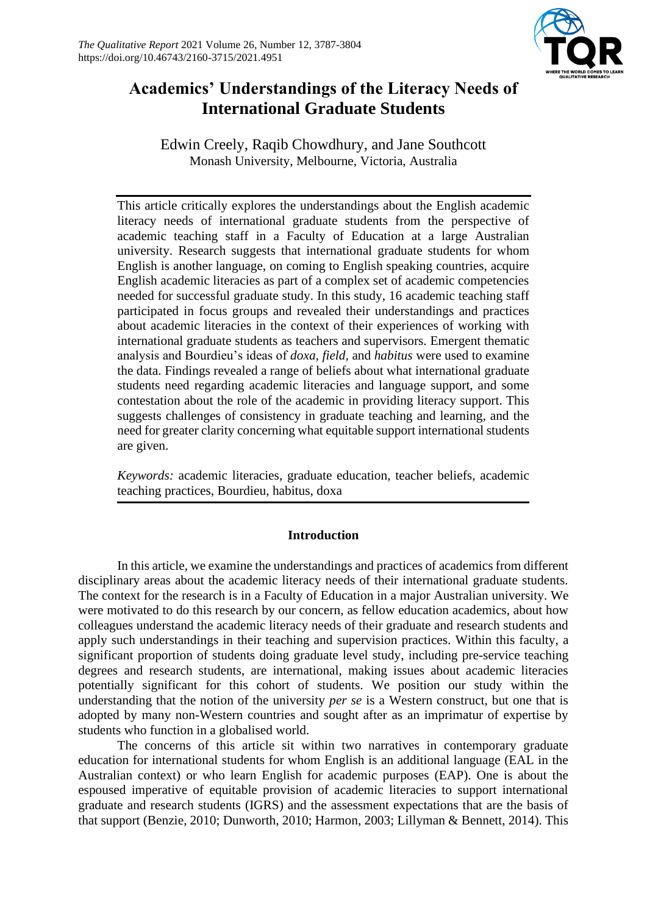

# **Academics' Understandings of the Literacy Needs of International Graduate Students**

Edwin Creely, Raqib Chowdhury, and Jane Southcott Monash University, Melbourne, Victoria, Australia

This article critically explores the understandings about the English academic literacy needs of international graduate students from the perspective of academic teaching staff in a Faculty of Education at a large Australian university. Research suggests that international graduate students for whom English is another language, on coming to English speaking countries, acquire English academic literacies as part of a complex set of academic competencies needed for successful graduate study. In this study, 16 academic teaching staff participated in focus groups and revealed their understandings and practices about academic literacies in the context of their experiences of working with international graduate students as teachers and supervisors. Emergent thematic analysis and Bourdieu's ideas of *doxa, field,* and *habitus* were used to examine the data. Findings revealed a range of beliefs about what international graduate students need regarding academic literacies and language support, and some contestation about the role of the academic in providing literacy support. This suggests challenges of consistency in graduate teaching and learning, and the need for greater clarity concerning what equitable support international students are given.

*Keywords:* academic literacies, graduate education, teacher beliefs, academic teaching practices, Bourdieu, habitus, doxa

# **Introduction**

In this article, we examine the understandings and practices of academics from different disciplinary areas about the academic literacy needs of their international graduate students. The context for the research is in a Faculty of Education in a major Australian university. We were motivated to do this research by our concern, as fellow education academics, about how colleagues understand the academic literacy needs of their graduate and research students and apply such understandings in their teaching and supervision practices. Within this faculty, a significant proportion of students doing graduate level study, including pre-service teaching degrees and research students, are international, making issues about academic literacies potentially significant for this cohort of students. We position our study within the understanding that the notion of the university *per se* is a Western construct, but one that is adopted by many non-Western countries and sought after as an imprimatur of expertise by students who function in a globalised world.

The concerns of this article sit within two narratives in contemporary graduate education for international students for whom English is an additional language (EAL in the Australian context) or who learn English for academic purposes (EAP). One is about the espoused imperative of equitable provision of academic literacies to support international graduate and research students (IGRS) and the assessment expectations that are the basis of that support (Benzie, 2010; Dunworth, 2010; Harmon, 2003; Lillyman & Bennett, 2014). This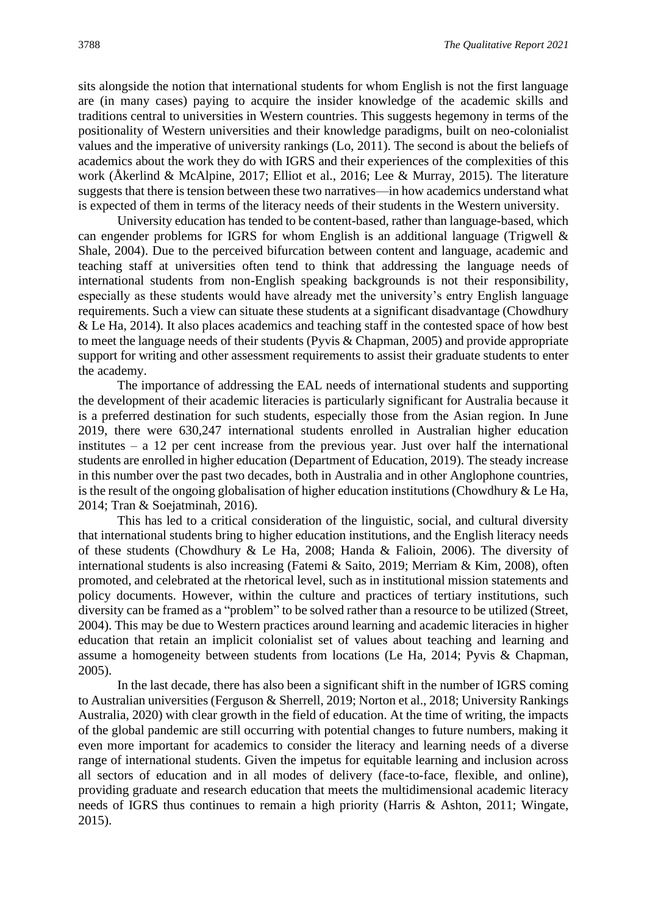sits alongside the notion that international students for whom English is not the first language are (in many cases) paying to acquire the insider knowledge of the academic skills and traditions central to universities in Western countries. This suggests hegemony in terms of the positionality of Western universities and their knowledge paradigms, built on neo-colonialist values and the imperative of university rankings (Lo, 2011). The second is about the beliefs of academics about the work they do with IGRS and their experiences of the complexities of this work (Åkerlind & McAlpine, 2017; Elliot et al., 2016; Lee & Murray, 2015). The literature suggests that there is tension between these two narratives—in how academics understand what is expected of them in terms of the literacy needs of their students in the Western university.

University education has tended to be content-based, rather than language-based, which can engender problems for IGRS for whom English is an additional language (Trigwell & Shale, 2004). Due to the perceived bifurcation between content and language, academic and teaching staff at universities often tend to think that addressing the language needs of international students from non-English speaking backgrounds is not their responsibility, especially as these students would have already met the university's entry English language requirements. Such a view can situate these students at a significant disadvantage (Chowdhury & Le Ha, 2014). It also places academics and teaching staff in the contested space of how best to meet the language needs of their students (Pyvis & Chapman, 2005) and provide appropriate support for writing and other assessment requirements to assist their graduate students to enter the academy.

The importance of addressing the EAL needs of international students and supporting the development of their academic literacies is particularly significant for Australia because it is a preferred destination for such students, especially those from the Asian region. In June 2019, there were 630,247 international students enrolled in Australian higher education institutes – a 12 per cent increase from the previous year. Just over half the international students are enrolled in higher education (Department of Education, 2019). The steady increase in this number over the past two decades, both in Australia and in other Anglophone countries, is the result of the ongoing globalisation of higher education institutions (Chowdhury  $\&$  Le Ha, 2014; Tran & Soejatminah, 2016).

This has led to a critical consideration of the linguistic, social, and cultural diversity that international students bring to higher education institutions, and the English literacy needs of these students (Chowdhury & Le Ha, 2008; Handa & Falioin, 2006). The diversity of international students is also increasing (Fatemi & Saito, 2019; Merriam & Kim, 2008), often promoted, and celebrated at the rhetorical level, such as in institutional mission statements and policy documents. However, within the culture and practices of tertiary institutions, such diversity can be framed as a "problem" to be solved rather than a resource to be utilized (Street, 2004). This may be due to Western practices around learning and academic literacies in higher education that retain an implicit colonialist set of values about teaching and learning and assume a homogeneity between students from locations (Le Ha, 2014; Pyvis & Chapman, 2005).

In the last decade, there has also been a significant shift in the number of IGRS coming to Australian universities (Ferguson & Sherrell, 2019; Norton et al., 2018; University Rankings Australia, 2020) with clear growth in the field of education. At the time of writing, the impacts of the global pandemic are still occurring with potential changes to future numbers, making it even more important for academics to consider the literacy and learning needs of a diverse range of international students. Given the impetus for equitable learning and inclusion across all sectors of education and in all modes of delivery (face-to-face, flexible, and online), providing graduate and research education that meets the multidimensional academic literacy needs of IGRS thus continues to remain a high priority (Harris & Ashton, 2011; Wingate, 2015).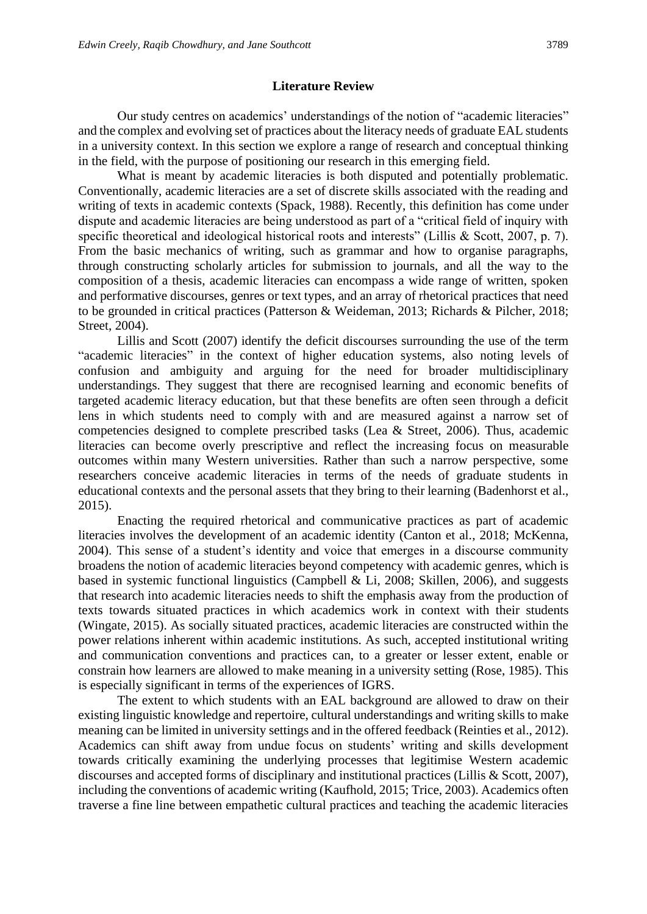### **Literature Review**

Our study centres on academics' understandings of the notion of "academic literacies" and the complex and evolving set of practices about the literacy needs of graduate EAL students in a university context. In this section we explore a range of research and conceptual thinking in the field, with the purpose of positioning our research in this emerging field.

What is meant by academic literacies is both disputed and potentially problematic. Conventionally, academic literacies are a set of discrete skills associated with the reading and writing of texts in academic contexts (Spack, 1988). Recently, this definition has come under dispute and academic literacies are being understood as part of a "critical field of inquiry with specific theoretical and ideological historical roots and interests" (Lillis & Scott, 2007, p. 7). From the basic mechanics of writing, such as grammar and how to organise paragraphs, through constructing scholarly articles for submission to journals, and all the way to the composition of a thesis, academic literacies can encompass a wide range of written, spoken and performative discourses, genres or text types, and an array of rhetorical practices that need to be grounded in critical practices (Patterson & Weideman, 2013; Richards & Pilcher, 2018; Street, 2004).

Lillis and Scott (2007) identify the deficit discourses surrounding the use of the term "academic literacies" in the context of higher education systems, also noting levels of confusion and ambiguity and arguing for the need for broader multidisciplinary understandings. They suggest that there are recognised learning and economic benefits of targeted academic literacy education, but that these benefits are often seen through a deficit lens in which students need to comply with and are measured against a narrow set of competencies designed to complete prescribed tasks (Lea & Street, 2006). Thus, academic literacies can become overly prescriptive and reflect the increasing focus on measurable outcomes within many Western universities. Rather than such a narrow perspective, some researchers conceive academic literacies in terms of the needs of graduate students in educational contexts and the personal assets that they bring to their learning (Badenhorst et al., 2015).

Enacting the required rhetorical and communicative practices as part of academic literacies involves the development of an academic identity (Canton et al., 2018; McKenna, 2004). This sense of a student's identity and voice that emerges in a discourse community broadens the notion of academic literacies beyond competency with academic genres, which is based in systemic functional linguistics (Campbell & Li, 2008; Skillen, 2006), and suggests that research into academic literacies needs to shift the emphasis away from the production of texts towards situated practices in which academics work in context with their students (Wingate, 2015). As socially situated practices, academic literacies are constructed within the power relations inherent within academic institutions. As such, accepted institutional writing and communication conventions and practices can, to a greater or lesser extent, enable or constrain how learners are allowed to make meaning in a university setting (Rose, 1985). This is especially significant in terms of the experiences of IGRS.

The extent to which students with an EAL background are allowed to draw on their existing linguistic knowledge and repertoire, cultural understandings and writing skills to make meaning can be limited in university settings and in the offered feedback (Reinties et al., 2012). Academics can shift away from undue focus on students' writing and skills development towards critically examining the underlying processes that legitimise Western academic discourses and accepted forms of disciplinary and institutional practices (Lillis & Scott, 2007), including the conventions of academic writing (Kaufhold, 2015; Trice, 2003). Academics often traverse a fine line between empathetic cultural practices and teaching the academic literacies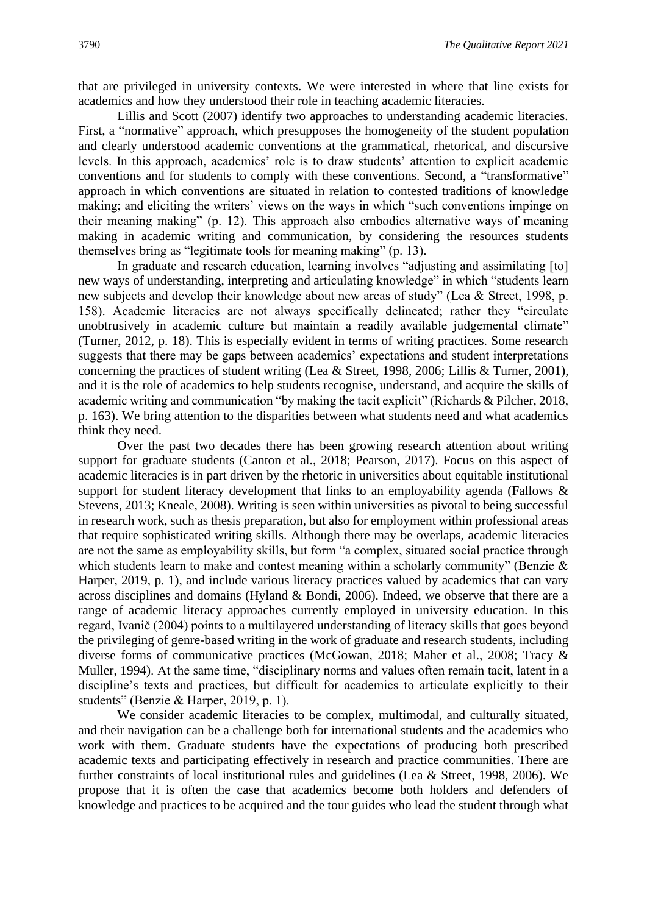that are privileged in university contexts. We were interested in where that line exists for academics and how they understood their role in teaching academic literacies.

Lillis and Scott (2007) identify two approaches to understanding academic literacies. First, a "normative" approach, which presupposes the homogeneity of the student population and clearly understood academic conventions at the grammatical, rhetorical, and discursive levels. In this approach, academics' role is to draw students' attention to explicit academic conventions and for students to comply with these conventions. Second, a "transformative" approach in which conventions are situated in relation to contested traditions of knowledge making; and eliciting the writers' views on the ways in which "such conventions impinge on their meaning making" (p. 12). This approach also embodies alternative ways of meaning making in academic writing and communication, by considering the resources students themselves bring as "legitimate tools for meaning making" (p. 13).

In graduate and research education, learning involves "adjusting and assimilating [to] new ways of understanding, interpreting and articulating knowledge" in which "students learn new subjects and develop their knowledge about new areas of study" (Lea & Street, 1998, p. 158). Academic literacies are not always specifically delineated; rather they "circulate unobtrusively in academic culture but maintain a readily available judgemental climate" (Turner, 2012, p. 18). This is especially evident in terms of writing practices. Some research suggests that there may be gaps between academics' expectations and student interpretations concerning the practices of student writing (Lea & Street, 1998, 2006; Lillis & Turner, 2001), and it is the role of academics to help students recognise, understand, and acquire the skills of academic writing and communication "by making the tacit explicit" (Richards & Pilcher, 2018, p. 163). We bring attention to the disparities between what students need and what academics think they need.

Over the past two decades there has been growing research attention about writing support for graduate students (Canton et al., 2018; Pearson, 2017). Focus on this aspect of academic literacies is in part driven by the rhetoric in universities about equitable institutional support for student literacy development that links to an employability agenda (Fallows & Stevens, 2013; Kneale, 2008). Writing is seen within universities as pivotal to being successful in research work, such as thesis preparation, but also for employment within professional areas that require sophisticated writing skills. Although there may be overlaps, academic literacies are not the same as employability skills, but form "a complex, situated social practice through which students learn to make and contest meaning within a scholarly community" (Benzie & Harper, 2019, p. 1), and include various literacy practices valued by academics that can vary across disciplines and domains (Hyland & Bondi, 2006). Indeed, we observe that there are a range of academic literacy approaches currently employed in university education. In this regard, Ivanič (2004) points to a multilayered understanding of literacy skills that goes beyond the privileging of genre-based writing in the work of graduate and research students, including diverse forms of communicative practices (McGowan, 2018; Maher et al., 2008; Tracy & Muller, 1994). At the same time, "disciplinary norms and values often remain tacit, latent in a discipline's texts and practices, but difficult for academics to articulate explicitly to their students" (Benzie & Harper, 2019, p. 1).

We consider academic literacies to be complex, multimodal, and culturally situated, and their navigation can be a challenge both for international students and the academics who work with them. Graduate students have the expectations of producing both prescribed academic texts and participating effectively in research and practice communities. There are further constraints of local institutional rules and guidelines (Lea & Street, 1998, 2006). We propose that it is often the case that academics become both holders and defenders of knowledge and practices to be acquired and the tour guides who lead the student through what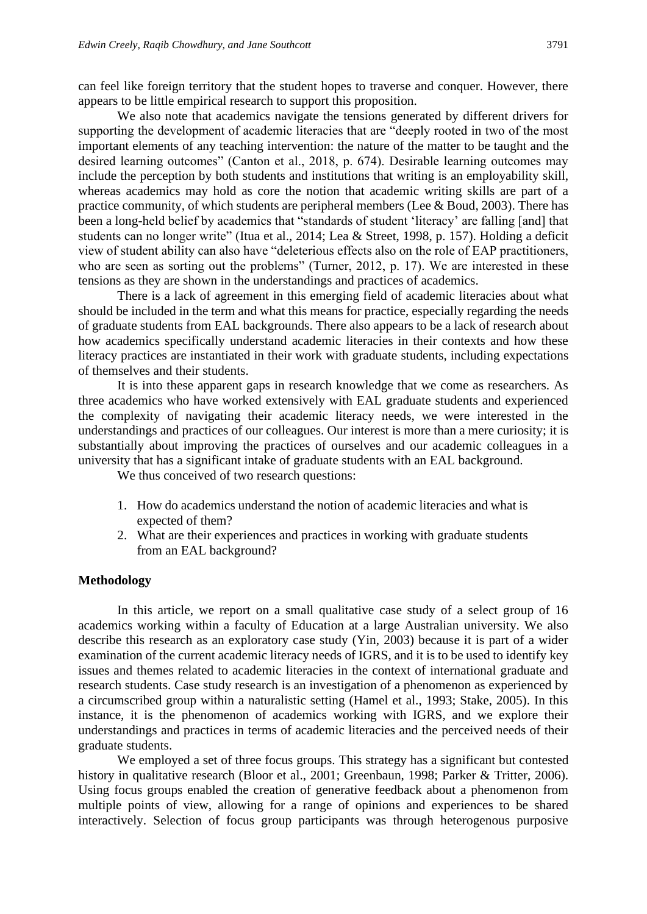can feel like foreign territory that the student hopes to traverse and conquer. However, there appears to be little empirical research to support this proposition.

We also note that academics navigate the tensions generated by different drivers for supporting the development of academic literacies that are "deeply rooted in two of the most important elements of any teaching intervention: the nature of the matter to be taught and the desired learning outcomes" (Canton et al., 2018, p. 674). Desirable learning outcomes may include the perception by both students and institutions that writing is an employability skill, whereas academics may hold as core the notion that academic writing skills are part of a practice community, of which students are peripheral members (Lee & Boud, 2003). There has been a long-held belief by academics that "standards of student 'literacy' are falling [and] that students can no longer write" (Itua et al., 2014; Lea & Street, 1998, p. 157). Holding a deficit view of student ability can also have "deleterious effects also on the role of EAP practitioners, who are seen as sorting out the problems" (Turner, 2012, p. 17). We are interested in these tensions as they are shown in the understandings and practices of academics.

There is a lack of agreement in this emerging field of academic literacies about what should be included in the term and what this means for practice, especially regarding the needs of graduate students from EAL backgrounds. There also appears to be a lack of research about how academics specifically understand academic literacies in their contexts and how these literacy practices are instantiated in their work with graduate students, including expectations of themselves and their students.

It is into these apparent gaps in research knowledge that we come as researchers. As three academics who have worked extensively with EAL graduate students and experienced the complexity of navigating their academic literacy needs, we were interested in the understandings and practices of our colleagues. Our interest is more than a mere curiosity; it is substantially about improving the practices of ourselves and our academic colleagues in a university that has a significant intake of graduate students with an EAL background.

We thus conceived of two research questions:

- 1. How do academics understand the notion of academic literacies and what is expected of them?
- 2. What are their experiences and practices in working with graduate students from an EAL background?

# **Methodology**

In this article, we report on a small qualitative case study of a select group of 16 academics working within a faculty of Education at a large Australian university. We also describe this research as an exploratory case study (Yin, 2003) because it is part of a wider examination of the current academic literacy needs of IGRS, and it is to be used to identify key issues and themes related to academic literacies in the context of international graduate and research students. Case study research is an investigation of a phenomenon as experienced by a circumscribed group within a naturalistic setting (Hamel et al., 1993; Stake, 2005). In this instance, it is the phenomenon of academics working with IGRS, and we explore their understandings and practices in terms of academic literacies and the perceived needs of their graduate students.

We employed a set of three focus groups. This strategy has a significant but contested history in qualitative research (Bloor et al., 2001; Greenbaun, 1998; Parker & Tritter, 2006). Using focus groups enabled the creation of generative feedback about a phenomenon from multiple points of view, allowing for a range of opinions and experiences to be shared interactively. Selection of focus group participants was through heterogenous purposive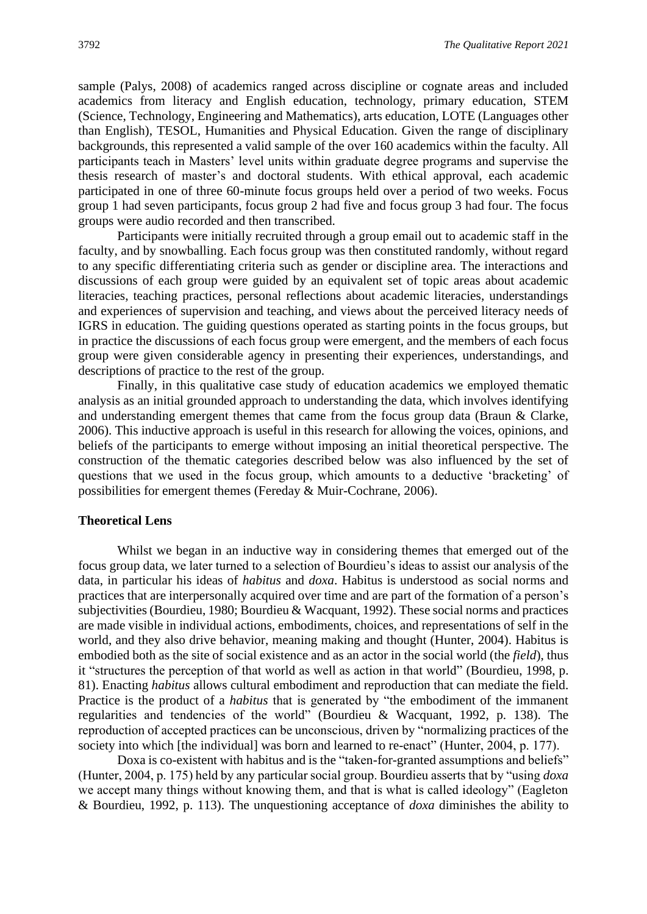sample (Palys, 2008) of academics ranged across discipline or cognate areas and included academics from literacy and English education, technology, primary education, STEM (Science, Technology, Engineering and Mathematics), arts education, LOTE (Languages other than English), TESOL, Humanities and Physical Education. Given the range of disciplinary backgrounds, this represented a valid sample of the over 160 academics within the faculty. All participants teach in Masters' level units within graduate degree programs and supervise the thesis research of master's and doctoral students. With ethical approval, each academic participated in one of three 60-minute focus groups held over a period of two weeks. Focus group 1 had seven participants, focus group 2 had five and focus group 3 had four. The focus groups were audio recorded and then transcribed.

Participants were initially recruited through a group email out to academic staff in the faculty, and by snowballing. Each focus group was then constituted randomly, without regard to any specific differentiating criteria such as gender or discipline area. The interactions and discussions of each group were guided by an equivalent set of topic areas about academic literacies, teaching practices, personal reflections about academic literacies, understandings and experiences of supervision and teaching, and views about the perceived literacy needs of IGRS in education. The guiding questions operated as starting points in the focus groups, but in practice the discussions of each focus group were emergent, and the members of each focus group were given considerable agency in presenting their experiences, understandings, and descriptions of practice to the rest of the group.

Finally, in this qualitative case study of education academics we employed thematic analysis as an initial grounded approach to understanding the data, which involves identifying and understanding emergent themes that came from the focus group data (Braun & Clarke, 2006). This inductive approach is useful in this research for allowing the voices, opinions, and beliefs of the participants to emerge without imposing an initial theoretical perspective. The construction of the thematic categories described below was also influenced by the set of questions that we used in the focus group, which amounts to a deductive 'bracketing' of possibilities for emergent themes (Fereday & Muir-Cochrane, 2006).

### **Theoretical Lens**

Whilst we began in an inductive way in considering themes that emerged out of the focus group data, we later turned to a selection of Bourdieu's ideas to assist our analysis of the data, in particular his ideas of *habitus* and *doxa*. Habitus is understood as social norms and practices that are interpersonally acquired over time and are part of the formation of a person's subjectivities (Bourdieu, 1980; Bourdieu & Wacquant, 1992). These social norms and practices are made visible in individual actions, embodiments, choices, and representations of self in the world, and they also drive behavior, meaning making and thought (Hunter, 2004). Habitus is embodied both as the site of social existence and as an actor in the social world (the *field*), thus it "structures the perception of that world as well as action in that world" (Bourdieu, 1998, p. 81). Enacting *habitus* allows cultural embodiment and reproduction that can mediate the field. Practice is the product of a *habitus* that is generated by "the embodiment of the immanent regularities and tendencies of the world" (Bourdieu & Wacquant, 1992, p. 138). The reproduction of accepted practices can be unconscious, driven by "normalizing practices of the society into which [the individual] was born and learned to re-enact" (Hunter, 2004, p. 177).

Doxa is co-existent with habitus and is the "taken-for-granted assumptions and beliefs" (Hunter, 2004, p. 175) held by any particular social group. Bourdieu asserts that by "using *doxa* we accept many things without knowing them, and that is what is called ideology" (Eagleton & Bourdieu, 1992, p. 113). The unquestioning acceptance of *doxa* diminishes the ability to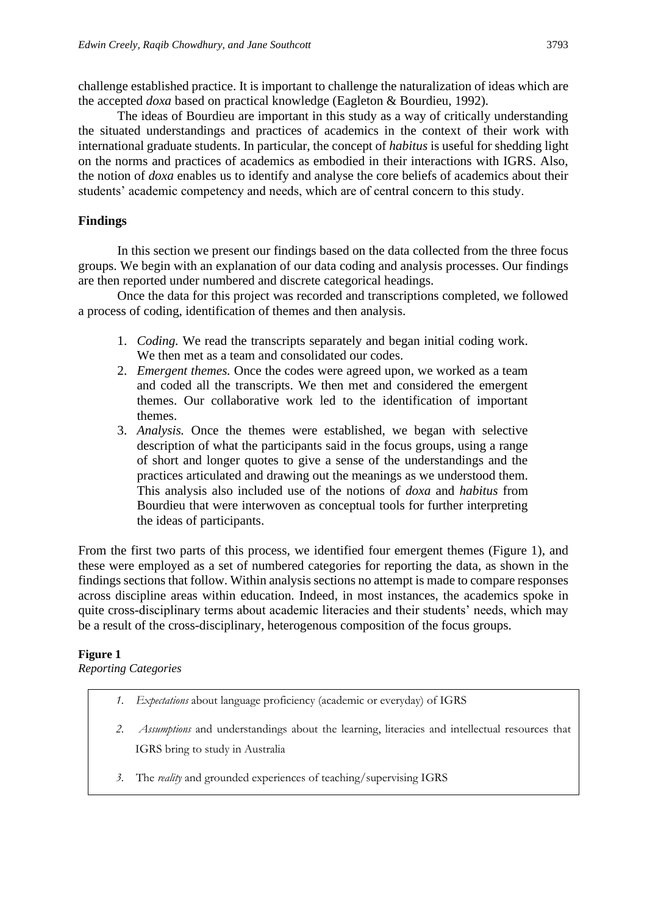challenge established practice. It is important to challenge the naturalization of ideas which are the accepted *doxa* based on practical knowledge (Eagleton & Bourdieu, 1992).

The ideas of Bourdieu are important in this study as a way of critically understanding the situated understandings and practices of academics in the context of their work with international graduate students. In particular, the concept of *habitus* is useful for shedding light on the norms and practices of academics as embodied in their interactions with IGRS. Also, the notion of *doxa* enables us to identify and analyse the core beliefs of academics about their students' academic competency and needs, which are of central concern to this study.

# **Findings**

In this section we present our findings based on the data collected from the three focus groups. We begin with an explanation of our data coding and analysis processes. Our findings are then reported under numbered and discrete categorical headings.

Once the data for this project was recorded and transcriptions completed, we followed a process of coding, identification of themes and then analysis.

- 1. *Coding.* We read the transcripts separately and began initial coding work. We then met as a team and consolidated our codes.
- 2. *Emergent themes.* Once the codes were agreed upon, we worked as a team and coded all the transcripts. We then met and considered the emergent themes. Our collaborative work led to the identification of important themes.
- 3. *Analysis.* Once the themes were established, we began with selective description of what the participants said in the focus groups, using a range of short and longer quotes to give a sense of the understandings and the practices articulated and drawing out the meanings as we understood them. This analysis also included use of the notions of *doxa* and *habitus* from Bourdieu that were interwoven as conceptual tools for further interpreting the ideas of participants.

From the first two parts of this process, we identified four emergent themes (Figure 1), and these were employed as a set of numbered categories for reporting the data, as shown in the findings sections that follow. Within analysis sections no attempt is made to compare responses across discipline areas within education. Indeed, in most instances, the academics spoke in quite cross-disciplinary terms about academic literacies and their students' needs, which may be a result of the cross-disciplinary, heterogenous composition of the focus groups.

# **Figure 1**

*Reporting Categories*

- *1. Expectations* about language proficiency (academic or everyday) of IGRS
- *2. Assumptions* and understandings about the learning, literacies and intellectual resources that IGRS bring to study in Australia
- *3.* The *reality* and grounded experiences of teaching/supervising IGRS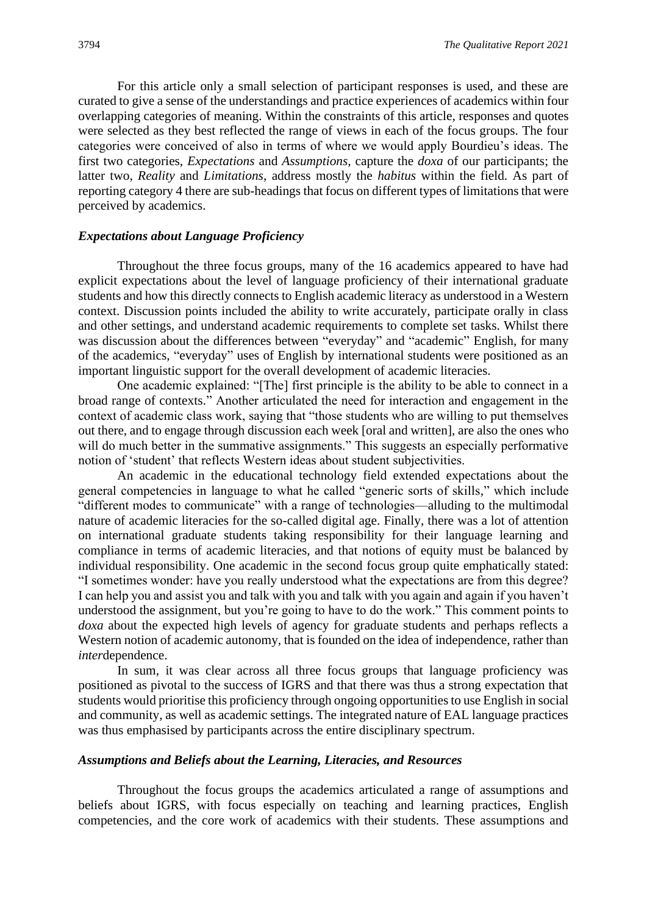For this article only a small selection of participant responses is used, and these are curated to give a sense of the understandings and practice experiences of academics within four overlapping categories of meaning. Within the constraints of this article, responses and quotes were selected as they best reflected the range of views in each of the focus groups. The four categories were conceived of also in terms of where we would apply Bourdieu's ideas. The first two categories, *Expectations* and *Assumptions,* capture the *doxa* of our participants; the latter two, *Reality* and *Limitations*, address mostly the *habitus* within the field. As part of reporting category 4 there are sub-headings that focus on different types of limitations that were perceived by academics.

# *Expectations about Language Proficiency*

Throughout the three focus groups, many of the 16 academics appeared to have had explicit expectations about the level of language proficiency of their international graduate students and how this directly connects to English academic literacy as understood in a Western context. Discussion points included the ability to write accurately, participate orally in class and other settings, and understand academic requirements to complete set tasks. Whilst there was discussion about the differences between "everyday" and "academic" English, for many of the academics, "everyday" uses of English by international students were positioned as an important linguistic support for the overall development of academic literacies.

One academic explained: "[The] first principle is the ability to be able to connect in a broad range of contexts." Another articulated the need for interaction and engagement in the context of academic class work, saying that "those students who are willing to put themselves out there, and to engage through discussion each week [oral and written], are also the ones who will do much better in the summative assignments." This suggests an especially performative notion of 'student' that reflects Western ideas about student subjectivities.

An academic in the educational technology field extended expectations about the general competencies in language to what he called "generic sorts of skills," which include "different modes to communicate" with a range of technologies—alluding to the multimodal nature of academic literacies for the so-called digital age. Finally, there was a lot of attention on international graduate students taking responsibility for their language learning and compliance in terms of academic literacies, and that notions of equity must be balanced by individual responsibility. One academic in the second focus group quite emphatically stated: "I sometimes wonder: have you really understood what the expectations are from this degree? I can help you and assist you and talk with you and talk with you again and again if you haven't understood the assignment, but you're going to have to do the work." This comment points to *doxa* about the expected high levels of agency for graduate students and perhaps reflects a Western notion of academic autonomy, that is founded on the idea of independence, rather than *inter*dependence.

In sum, it was clear across all three focus groups that language proficiency was positioned as pivotal to the success of IGRS and that there was thus a strong expectation that students would prioritise this proficiency through ongoing opportunities to use English in social and community, as well as academic settings. The integrated nature of EAL language practices was thus emphasised by participants across the entire disciplinary spectrum.

### *Assumptions and Beliefs about the Learning, Literacies, and Resources*

Throughout the focus groups the academics articulated a range of assumptions and beliefs about IGRS, with focus especially on teaching and learning practices, English competencies, and the core work of academics with their students. These assumptions and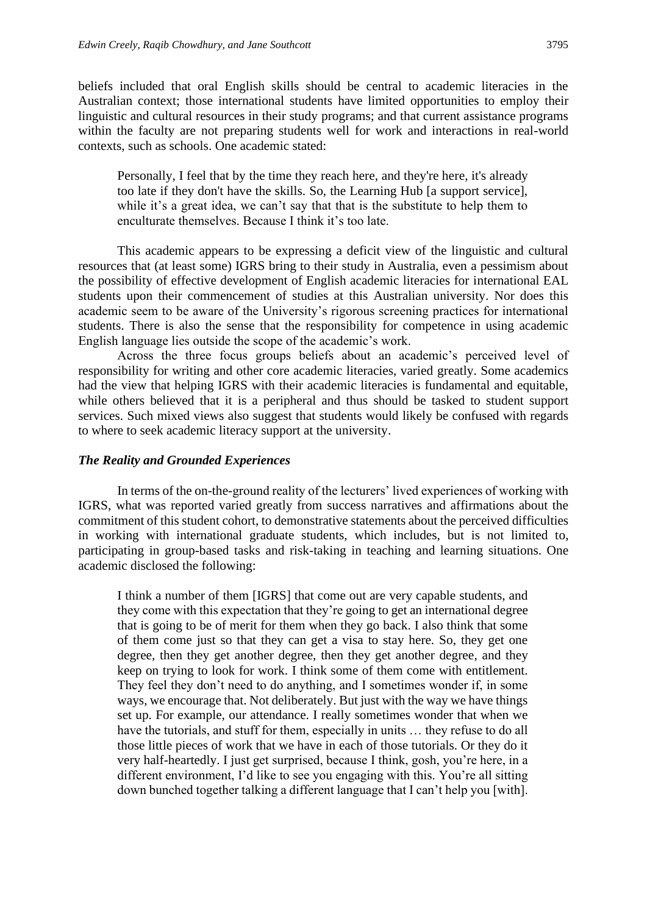beliefs included that oral English skills should be central to academic literacies in the Australian context; those international students have limited opportunities to employ their linguistic and cultural resources in their study programs; and that current assistance programs within the faculty are not preparing students well for work and interactions in real-world contexts, such as schools. One academic stated:

Personally, I feel that by the time they reach here, and they're here, it's already too late if they don't have the skills. So, the Learning Hub [a support service], while it's a great idea, we can't say that that is the substitute to help them to enculturate themselves. Because I think it's too late.

This academic appears to be expressing a deficit view of the linguistic and cultural resources that (at least some) IGRS bring to their study in Australia, even a pessimism about the possibility of effective development of English academic literacies for international EAL students upon their commencement of studies at this Australian university. Nor does this academic seem to be aware of the University's rigorous screening practices for international students. There is also the sense that the responsibility for competence in using academic English language lies outside the scope of the academic's work.

Across the three focus groups beliefs about an academic's perceived level of responsibility for writing and other core academic literacies, varied greatly. Some academics had the view that helping IGRS with their academic literacies is fundamental and equitable, while others believed that it is a peripheral and thus should be tasked to student support services. Such mixed views also suggest that students would likely be confused with regards to where to seek academic literacy support at the university.

### *The Reality and Grounded Experiences*

In terms of the on-the-ground reality of the lecturers' lived experiences of working with IGRS, what was reported varied greatly from success narratives and affirmations about the commitment of this student cohort, to demonstrative statements about the perceived difficulties in working with international graduate students, which includes, but is not limited to, participating in group-based tasks and risk-taking in teaching and learning situations. One academic disclosed the following:

I think a number of them [IGRS] that come out are very capable students, and they come with this expectation that they're going to get an international degree that is going to be of merit for them when they go back. I also think that some of them come just so that they can get a visa to stay here. So, they get one degree, then they get another degree, then they get another degree, and they keep on trying to look for work. I think some of them come with entitlement. They feel they don't need to do anything, and I sometimes wonder if, in some ways, we encourage that. Not deliberately. But just with the way we have things set up. For example, our attendance. I really sometimes wonder that when we have the tutorials, and stuff for them, especially in units ... they refuse to do all those little pieces of work that we have in each of those tutorials. Or they do it very half-heartedly. I just get surprised, because I think, gosh, you're here, in a different environment, I'd like to see you engaging with this. You're all sitting down bunched together talking a different language that I can't help you [with].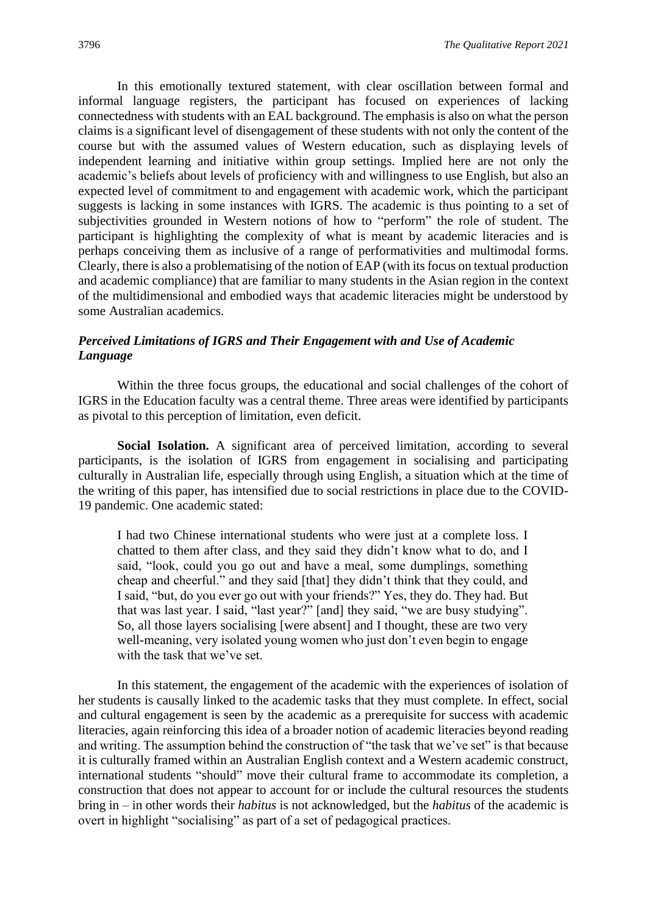In this emotionally textured statement, with clear oscillation between formal and informal language registers, the participant has focused on experiences of lacking connectedness with students with an EAL background. The emphasis is also on what the person claims is a significant level of disengagement of these students with not only the content of the course but with the assumed values of Western education, such as displaying levels of independent learning and initiative within group settings. Implied here are not only the academic's beliefs about levels of proficiency with and willingness to use English, but also an expected level of commitment to and engagement with academic work, which the participant suggests is lacking in some instances with IGRS. The academic is thus pointing to a set of subjectivities grounded in Western notions of how to "perform" the role of student. The participant is highlighting the complexity of what is meant by academic literacies and is perhaps conceiving them as inclusive of a range of performativities and multimodal forms. Clearly, there is also a problematising of the notion of EAP (with its focus on textual production and academic compliance) that are familiar to many students in the Asian region in the context of the multidimensional and embodied ways that academic literacies might be understood by some Australian academics.

# *Perceived Limitations of IGRS and Their Engagement with and Use of Academic Language*

Within the three focus groups, the educational and social challenges of the cohort of IGRS in the Education faculty was a central theme. Three areas were identified by participants as pivotal to this perception of limitation, even deficit.

**Social Isolation.** A significant area of perceived limitation, according to several participants, is the isolation of IGRS from engagement in socialising and participating culturally in Australian life, especially through using English, a situation which at the time of the writing of this paper, has intensified due to social restrictions in place due to the COVID-19 pandemic. One academic stated:

I had two Chinese international students who were just at a complete loss. I chatted to them after class, and they said they didn't know what to do, and I said, "look, could you go out and have a meal, some dumplings, something cheap and cheerful." and they said [that] they didn't think that they could, and I said, "but, do you ever go out with your friends?" Yes, they do. They had. But that was last year. I said, "last year?" [and] they said, "we are busy studying". So, all those layers socialising [were absent] and I thought, these are two very well-meaning, very isolated young women who just don't even begin to engage with the task that we've set.

In this statement, the engagement of the academic with the experiences of isolation of her students is causally linked to the academic tasks that they must complete. In effect, social and cultural engagement is seen by the academic as a prerequisite for success with academic literacies, again reinforcing this idea of a broader notion of academic literacies beyond reading and writing. The assumption behind the construction of "the task that we've set" is that because it is culturally framed within an Australian English context and a Western academic construct, international students "should" move their cultural frame to accommodate its completion, a construction that does not appear to account for or include the cultural resources the students bring in – in other words their *habitus* is not acknowledged, but the *habitus* of the academic is overt in highlight "socialising" as part of a set of pedagogical practices.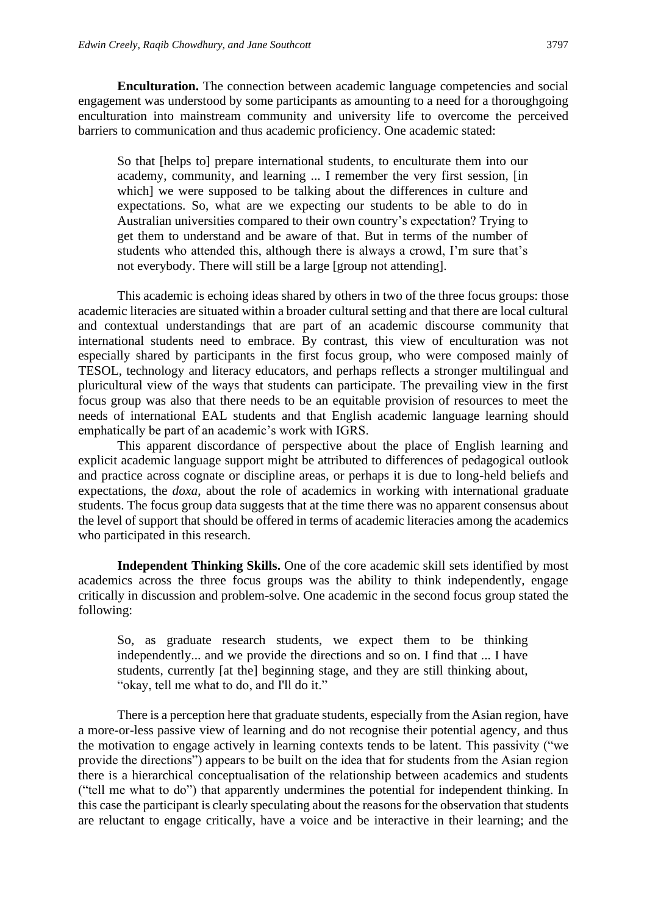**Enculturation.** The connection between academic language competencies and social engagement was understood by some participants as amounting to a need for a thoroughgoing enculturation into mainstream community and university life to overcome the perceived barriers to communication and thus academic proficiency. One academic stated:

So that [helps to] prepare international students, to enculturate them into our academy, community, and learning ... I remember the very first session, [in which] we were supposed to be talking about the differences in culture and expectations. So, what are we expecting our students to be able to do in Australian universities compared to their own country's expectation? Trying to get them to understand and be aware of that. But in terms of the number of students who attended this, although there is always a crowd, I'm sure that's not everybody. There will still be a large [group not attending].

This academic is echoing ideas shared by others in two of the three focus groups: those academic literacies are situated within a broader cultural setting and that there are local cultural and contextual understandings that are part of an academic discourse community that international students need to embrace. By contrast, this view of enculturation was not especially shared by participants in the first focus group, who were composed mainly of TESOL, technology and literacy educators, and perhaps reflects a stronger multilingual and pluricultural view of the ways that students can participate. The prevailing view in the first focus group was also that there needs to be an equitable provision of resources to meet the needs of international EAL students and that English academic language learning should emphatically be part of an academic's work with IGRS.

This apparent discordance of perspective about the place of English learning and explicit academic language support might be attributed to differences of pedagogical outlook and practice across cognate or discipline areas, or perhaps it is due to long-held beliefs and expectations, the *doxa*, about the role of academics in working with international graduate students. The focus group data suggests that at the time there was no apparent consensus about the level of support that should be offered in terms of academic literacies among the academics who participated in this research.

**Independent Thinking Skills.** One of the core academic skill sets identified by most academics across the three focus groups was the ability to think independently, engage critically in discussion and problem-solve. One academic in the second focus group stated the following:

So, as graduate research students, we expect them to be thinking independently... and we provide the directions and so on. I find that ... I have students, currently [at the] beginning stage, and they are still thinking about, "okay, tell me what to do, and I'll do it."

There is a perception here that graduate students, especially from the Asian region, have a more-or-less passive view of learning and do not recognise their potential agency, and thus the motivation to engage actively in learning contexts tends to be latent. This passivity ("we provide the directions") appears to be built on the idea that for students from the Asian region there is a hierarchical conceptualisation of the relationship between academics and students ("tell me what to do") that apparently undermines the potential for independent thinking. In this case the participant is clearly speculating about the reasons for the observation that students are reluctant to engage critically, have a voice and be interactive in their learning; and the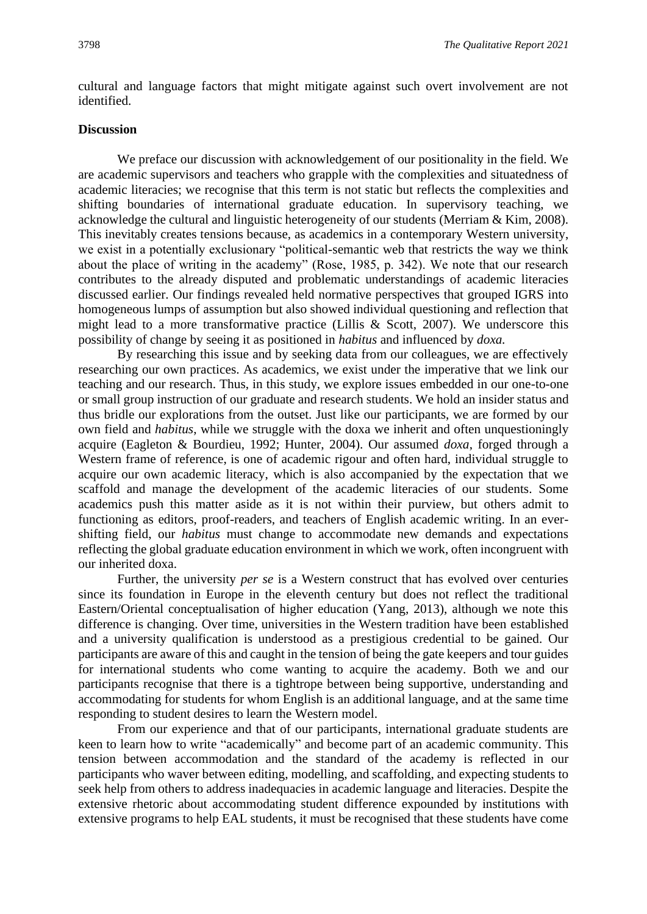cultural and language factors that might mitigate against such overt involvement are not identified.

# **Discussion**

We preface our discussion with acknowledgement of our positionality in the field. We are academic supervisors and teachers who grapple with the complexities and situatedness of academic literacies; we recognise that this term is not static but reflects the complexities and shifting boundaries of international graduate education. In supervisory teaching, we acknowledge the cultural and linguistic heterogeneity of our students (Merriam & Kim, 2008). This inevitably creates tensions because, as academics in a contemporary Western university, we exist in a potentially exclusionary "political-semantic web that restricts the way we think about the place of writing in the academy" (Rose, 1985, p. 342). We note that our research contributes to the already disputed and problematic understandings of academic literacies discussed earlier. Our findings revealed held normative perspectives that grouped IGRS into homogeneous lumps of assumption but also showed individual questioning and reflection that might lead to a more transformative practice (Lillis & Scott, 2007). We underscore this possibility of change by seeing it as positioned in *habitus* and influenced by *doxa.*

By researching this issue and by seeking data from our colleagues, we are effectively researching our own practices. As academics, we exist under the imperative that we link our teaching and our research. Thus, in this study, we explore issues embedded in our one-to-one or small group instruction of our graduate and research students. We hold an insider status and thus bridle our explorations from the outset. Just like our participants, we are formed by our own field and *habitus*, while we struggle with the doxa we inherit and often unquestioningly acquire (Eagleton & Bourdieu, 1992; Hunter, 2004). Our assumed *doxa*, forged through a Western frame of reference, is one of academic rigour and often hard, individual struggle to acquire our own academic literacy, which is also accompanied by the expectation that we scaffold and manage the development of the academic literacies of our students. Some academics push this matter aside as it is not within their purview, but others admit to functioning as editors, proof-readers, and teachers of English academic writing. In an evershifting field, our *habitus* must change to accommodate new demands and expectations reflecting the global graduate education environment in which we work, often incongruent with our inherited doxa.

Further, the university *per se* is a Western construct that has evolved over centuries since its foundation in Europe in the eleventh century but does not reflect the traditional Eastern/Oriental conceptualisation of higher education (Yang, 2013), although we note this difference is changing. Over time, universities in the Western tradition have been established and a university qualification is understood as a prestigious credential to be gained. Our participants are aware of this and caught in the tension of being the gate keepers and tour guides for international students who come wanting to acquire the academy. Both we and our participants recognise that there is a tightrope between being supportive, understanding and accommodating for students for whom English is an additional language, and at the same time responding to student desires to learn the Western model.

From our experience and that of our participants, international graduate students are keen to learn how to write "academically" and become part of an academic community. This tension between accommodation and the standard of the academy is reflected in our participants who waver between editing, modelling, and scaffolding, and expecting students to seek help from others to address inadequacies in academic language and literacies. Despite the extensive rhetoric about accommodating student difference expounded by institutions with extensive programs to help EAL students, it must be recognised that these students have come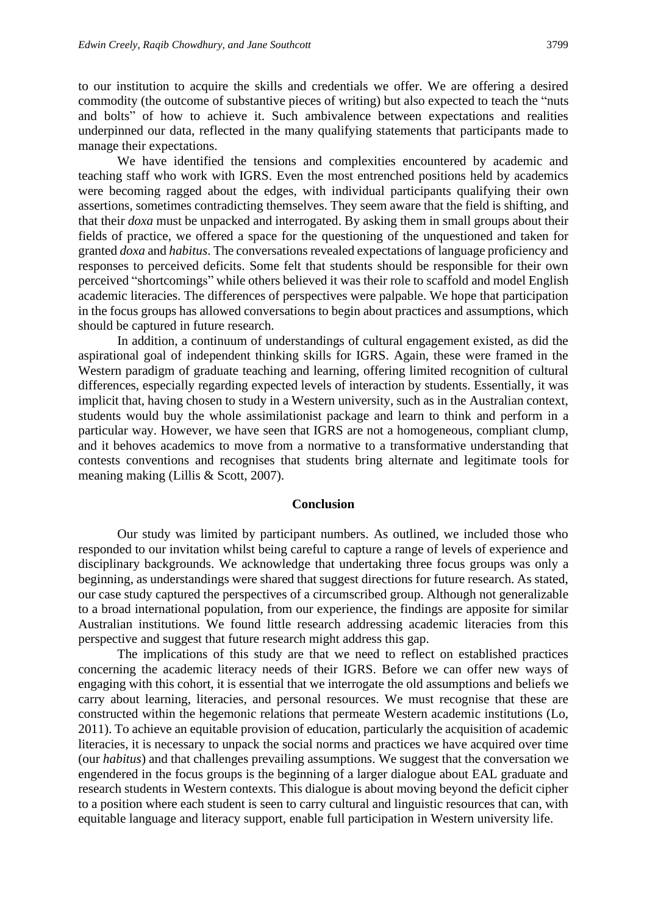to our institution to acquire the skills and credentials we offer. We are offering a desired commodity (the outcome of substantive pieces of writing) but also expected to teach the "nuts and bolts" of how to achieve it. Such ambivalence between expectations and realities underpinned our data, reflected in the many qualifying statements that participants made to manage their expectations.

We have identified the tensions and complexities encountered by academic and teaching staff who work with IGRS. Even the most entrenched positions held by academics were becoming ragged about the edges, with individual participants qualifying their own assertions, sometimes contradicting themselves. They seem aware that the field is shifting, and that their *doxa* must be unpacked and interrogated. By asking them in small groups about their fields of practice, we offered a space for the questioning of the unquestioned and taken for granted *doxa* and *habitus*. The conversations revealed expectations of language proficiency and responses to perceived deficits. Some felt that students should be responsible for their own perceived "shortcomings" while others believed it was their role to scaffold and model English academic literacies. The differences of perspectives were palpable. We hope that participation in the focus groups has allowed conversations to begin about practices and assumptions, which should be captured in future research.

In addition, a continuum of understandings of cultural engagement existed, as did the aspirational goal of independent thinking skills for IGRS. Again, these were framed in the Western paradigm of graduate teaching and learning, offering limited recognition of cultural differences, especially regarding expected levels of interaction by students. Essentially, it was implicit that, having chosen to study in a Western university, such as in the Australian context, students would buy the whole assimilationist package and learn to think and perform in a particular way. However, we have seen that IGRS are not a homogeneous, compliant clump, and it behoves academics to move from a normative to a transformative understanding that contests conventions and recognises that students bring alternate and legitimate tools for meaning making (Lillis & Scott, 2007).

## **Conclusion**

Our study was limited by participant numbers. As outlined, we included those who responded to our invitation whilst being careful to capture a range of levels of experience and disciplinary backgrounds. We acknowledge that undertaking three focus groups was only a beginning, as understandings were shared that suggest directions for future research. As stated, our case study captured the perspectives of a circumscribed group. Although not generalizable to a broad international population, from our experience, the findings are apposite for similar Australian institutions. We found little research addressing academic literacies from this perspective and suggest that future research might address this gap.

The implications of this study are that we need to reflect on established practices concerning the academic literacy needs of their IGRS. Before we can offer new ways of engaging with this cohort, it is essential that we interrogate the old assumptions and beliefs we carry about learning, literacies, and personal resources. We must recognise that these are constructed within the hegemonic relations that permeate Western academic institutions (Lo, 2011). To achieve an equitable provision of education, particularly the acquisition of academic literacies, it is necessary to unpack the social norms and practices we have acquired over time (our *habitus*) and that challenges prevailing assumptions. We suggest that the conversation we engendered in the focus groups is the beginning of a larger dialogue about EAL graduate and research students in Western contexts. This dialogue is about moving beyond the deficit cipher to a position where each student is seen to carry cultural and linguistic resources that can, with equitable language and literacy support, enable full participation in Western university life.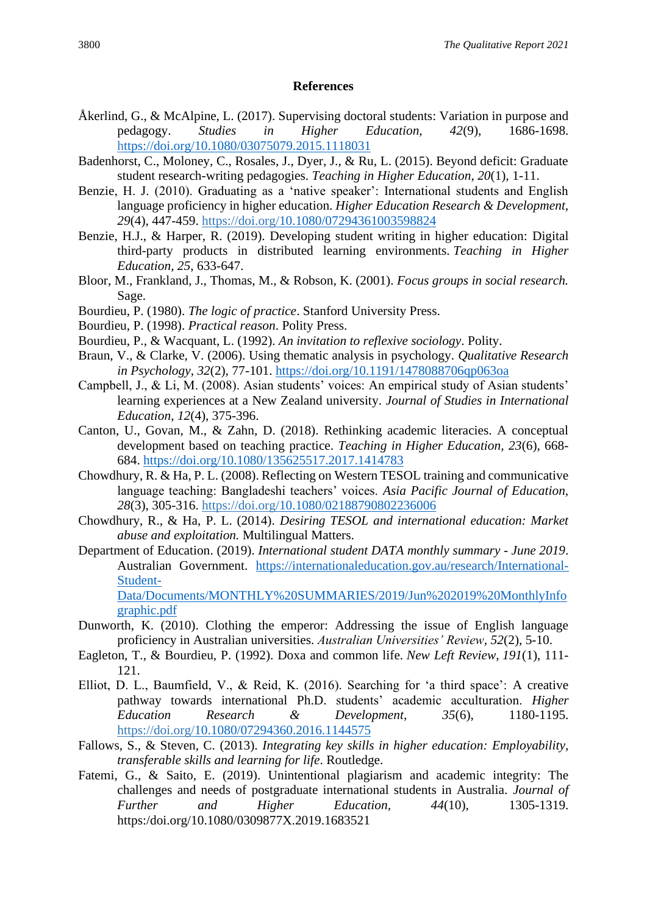# **References**

- Åkerlind, G., & McAlpine, L. (2017). Supervising doctoral students: Variation in purpose and pedagogy. *Studies in Higher Education, 42*(9), 1686-1698. <https://doi.org/10.1080/03075079.2015.1118031>
- Badenhorst, C., Moloney, C., Rosales, J., Dyer, J., & Ru, L. (2015). Beyond deficit: Graduate student research-writing pedagogies. *Teaching in Higher Education*, *20*(1), 1-11.
- Benzie, H. J. (2010). Graduating as a 'native speaker': International students and English language proficiency in higher education. *Higher Education Research & Development, 29*(4), 447-459. https://doi.org[/10.1080/07294361003598824](https://doi.org/10.1080/07294361003598824)
- Benzie, H.J., & Harper, R. (2019). Developing student writing in higher education: Digital third-party products in distributed learning environments. *Teaching in Higher Education, 25*, 633-647.
- Bloor, M., Frankland, J., Thomas, M., & Robson, K. (2001). *Focus groups in social research.*  Sage.
- Bourdieu, P. (1980). *The logic of practice*. Stanford University Press.
- Bourdieu, P. (1998). *Practical reason*. Polity Press.
- Bourdieu, P., & Wacquant, L. (1992). *An invitation to reflexive sociology*. Polity.
- Braun, V., & Clarke, V. (2006). Using thematic analysis in psychology. *Qualitative Research in Psychology*, *32*(2), 77-101.<https://doi.org/10.1191/1478088706qp063oa>
- Campbell, J., & Li, M. (2008). Asian students' voices: An empirical study of Asian students' learning experiences at a New Zealand university. *Journal of Studies in International Education*, *12*(4), 375-396.
- Canton, U., Govan, M., & Zahn, D. (2018). Rethinking academic literacies. A conceptual development based on teaching practice. *Teaching in Higher Education, 23*(6), 668- 684.<https://doi.org/10.1080/135625517.2017.1414783>
- Chowdhury, R. & Ha, P. L. (2008). Reflecting on Western TESOL training and communicative language teaching: Bangladeshi teachers' voices. *Asia Pacific Journal of Education, 28*(3), 305-316. https://doi.org[/10.1080/02188790802236006](https://doi.org/10.1080/02188790802236006)
- Chowdhury, R., & Ha, P. L. (2014). *Desiring TESOL and international education: Market abuse and exploitation.* Multilingual Matters.
- Department of Education. (2019). *International student DATA monthly summary - June 2019*. Australian Government. [https://internationaleducation.gov.au/research/International-](https://internationaleducation.gov.au/research/International-Student-Data/Documents/MONTHLY%20SUMMARIES/2019/Jun%202019%20MonthlyInfographic.pdf)[Student-](https://internationaleducation.gov.au/research/International-Student-Data/Documents/MONTHLY%20SUMMARIES/2019/Jun%202019%20MonthlyInfographic.pdf)[Data/Documents/MONTHLY%20SUMMARIES/2019/Jun%202019%20MonthlyInfo](https://internationaleducation.gov.au/research/International-Student-Data/Documents/MONTHLY%20SUMMARIES/2019/Jun%202019%20MonthlyInfographic.pdf)

[graphic.pdf](https://internationaleducation.gov.au/research/International-Student-Data/Documents/MONTHLY%20SUMMARIES/2019/Jun%202019%20MonthlyInfographic.pdf)

- Dunworth, K. (2010). Clothing the emperor: Addressing the issue of English language proficiency in Australian universities. *Australian Universities' Review*, *52*(2), 5-10.
- Eagleton, T., & Bourdieu, P. (1992). Doxa and common life. *New Left Review*, *191*(1), 111- 121.
- Elliot, D. L., Baumfield, V., & Reid, K. (2016). Searching for 'a third space': A creative pathway towards international Ph.D. students' academic acculturation. *Higher Education Research & Development, 35*(6), 1180-1195. https://doi.org[/10.1080/07294360.2016.1144575](https://doi.org/10.1080/07294360.2016.1144575)
- Fallows, S., & Steven, C. (2013). *Integrating key skills in higher education: Employability, transferable skills and learning for life*. Routledge.
- Fatemi, G., & Saito, E. (2019). Unintentional plagiarism and academic integrity: The challenges and needs of postgraduate international students in Australia. *Journal of Further and Higher Education, 44*(10), 1305-1319. https:/doi.org/10.1080/0309877X.2019.1683521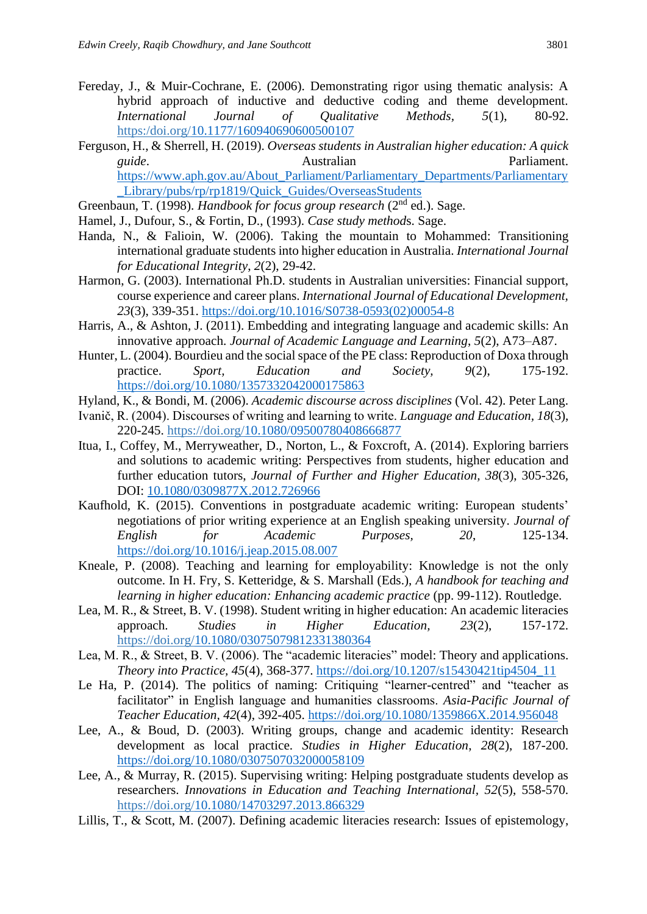- Fereday, J., & Muir-Cochrane, E. (2006). Demonstrating rigor using thematic analysis: A hybrid approach of inductive and deductive coding and theme development. *International Journal of Qualitative Methods, 5*(1), 80-92. https:/doi.org[/10.1177/160940690600500107](https://doi.org/10.1177%2F160940690600500107)
- Ferguson, H., & Sherrell, H. (2019). *Overseas students in Australian higher education: A quick guide*. Australian Parliament. [https://www.aph.gov.au/About\\_Parliament/Parliamentary\\_Departments/Parliamentary](https://www.aph.gov.au/About_Parliament/Parliamentary_Departments/Parliamentary_Library/pubs/rp/rp1819/Quick_Guides/OverseasStudents) Library/pubs/rp/rp1819/Quick Guides/OverseasStudents
- Greenbaun, T. (1998). *Handbook for focus group research* (2<sup>nd</sup> ed.). Sage.
- Hamel, J., Dufour, S., & Fortin, D., (1993). *Case study method*s. Sage.
- Handa, N., & Falioin, W. (2006). Taking the mountain to Mohammed: Transitioning international graduate students into higher education in Australia. *International Journal for Educational Integrity*, *2*(2), 29-42.
- Harmon, G. (2003). International Ph.D. students in Australian universities: Financial support, course experience and career plans. *International Journal of Educational Development, 23*(3), 339-351. [https://doi.org/10.1016/S0738-0593\(02\)00054-8](https://doi.org/10.1016/S0738-0593(02)00054-8)
- Harris, A., & Ashton, J. (2011). Embedding and integrating language and academic skills: An innovative approach. *Journal of Academic Language and Learning*, *5*(2), A73–A87.
- Hunter, L. (2004). Bourdieu and the social space of the PE class: Reproduction of Doxa through practice. *Sport, Education and Society, 9*(2), 175-192. <https://doi.org/10.1080/1357332042000175863>
- Hyland, K., & Bondi, M. (2006). *Academic discourse across disciplines* (Vol. 42). Peter Lang.
- Ivanič, R. (2004). Discourses of writing and learning to write. *Language and Education, 18*(3), 220-245. https://doi.org[/10.1080/09500780408666877](https://doi.org/10.1080/09500780408666877)
- Itua, I., Coffey, M., Merryweather, D., Norton, L., & Foxcroft, A. (2014). Exploring barriers and solutions to academic writing: Perspectives from students, higher education and further education tutors, *Journal of Further and Higher Education, 38*(3), 305-326, DOI: [10.1080/0309877X.2012.726966](https://doi.org/10.1080/0309877X.2012.726966)
- Kaufhold, K. (2015). Conventions in postgraduate academic writing: European students' negotiations of prior writing experience at an English speaking university. *Journal of English for Academic Purposes, 20*, 125-134. <https://doi.org/10.1016/j.jeap.2015.08.007>
- Kneale, P. (2008). Teaching and learning for employability: Knowledge is not the only outcome. In H. Fry, S. Ketteridge, & S. Marshall (Eds.), *A handbook for teaching and learning in higher education: Enhancing academic practice* (pp. 99-112). Routledge.
- Lea, M. R., & Street, B. V. (1998). Student writing in higher education: An academic literacies approach. *Studies in Higher Education, 23*(2), 157-172. https://doi.org[/10.1080/03075079812331380364](https://doi.org/10.1080/03075079812331380364)
- Lea, M. R., & Street, B. V. (2006). The "academic literacies" model: Theory and applications. *Theory into Practice, 45*(4), 368-377. [https://doi.org/10.1207/s15430421tip4504\\_11](https://doi.org/10.1207/s15430421tip4504_11)
- Le Ha, P. (2014). The politics of naming: Critiquing "learner-centred" and "teacher as facilitator" in English language and humanities classrooms. *Asia-Pacific Journal of Teacher Education, 42*(4), 392-405. <https://doi.org/10.1080/1359866X.2014.956048>
- Lee, A., & Boud, D. (2003). Writing groups, change and academic identity: Research development as local practice. *Studies in Higher Education*, *28*(2), 187-200. <https://doi.org/10.1080/0307507032000058109>
- Lee, A., & Murray, R. (2015). Supervising writing: Helping postgraduate students develop as researchers. *Innovations in Education and Teaching International, 52*(5), 558-570. https://doi.org[/10.1080/14703297.2013.866329](https://doi.org/10.1080/14703297.2013.866329)
- Lillis, T., & Scott, M. (2007). Defining academic literacies research: Issues of epistemology,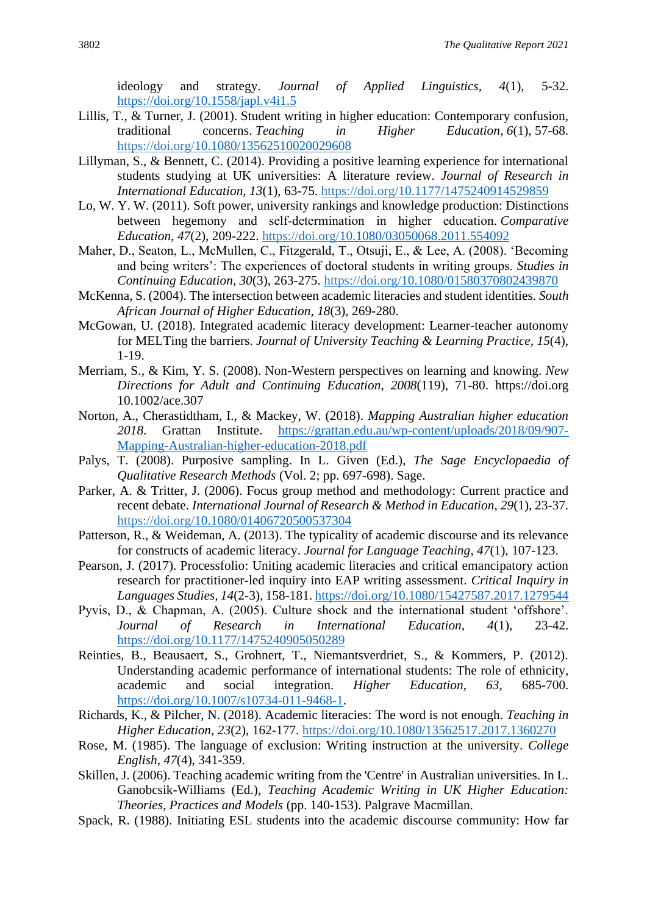ideology and strategy. *Journal of Applied Linguistics, 4*(1), 5-32. <https://doi.org/10.1558/japl.v4i1.5>

- Lillis, T., & Turner, J. (2001). Student writing in higher education: Contemporary confusion, traditional concerns. *Teaching in Higher Education*, *6*(1), 57-68. https://doi.org[/10.1080/13562510020029608](https://doi.org/10.1080/13562510020029608)
- Lillyman, S., & Bennett, C. (2014). Providing a positive learning experience for international students studying at UK universities: A literature review. *Journal of Research in International Education, 13*(1), 63-75. https://doi.org/[10.1177/1475240914529859](https://doi.org/10.1177%2F1475240914529859)
- Lo, W. Y. W. (2011). Soft power, university rankings and knowledge production: Distinctions between hegemony and self-determination in higher education. *Comparative Education*, *47*(2), 209-222. https://doi.org[/10.1080/03050068.2011.554092](https://doi.org/10.1080/03050068.2011.554092)
- Maher, D., Seaton, L., McMullen, C., Fitzgerald, T., Otsuji, E., & Lee, A. (2008). 'Becoming and being writers': The experiences of doctoral students in writing groups. *Studies in Continuing Education, 30*(3), 263-275. https://doi.org[/10.1080/01580370802439870](https://doi.org/10.1080/01580370802439870)
- McKenna, S. (2004). The intersection between academic literacies and student identities. *South African Journal of Higher Education*, *18*(3), 269-280.
- McGowan, U. (2018). Integrated academic literacy development: Learner-teacher autonomy for MELTing the barriers. *Journal of University Teaching & Learning Practice, 15*(4), 1-19.
- Merriam, S., & Kim, Y. S. (2008). Non-Western perspectives on learning and knowing. *New Directions for Adult and Continuing Education*, *2008*(119), 71-80. https://doi.org 10.1002/ace.307
- Norton, A., Cherastidtham, I., & Mackey, W. (2018). *Mapping Australian higher education 2018*. Grattan Institute. [https://grattan.edu.au/wp-content/uploads/2018/09/907-](https://grattan.edu.au/wp-content/uploads/2018/09/907-Mapping-Australian-higher-education-2018.pdf) [Mapping-Australian-higher-education-2018.pdf](https://grattan.edu.au/wp-content/uploads/2018/09/907-Mapping-Australian-higher-education-2018.pdf)
- Palys, T. (2008). Purposive sampling. In L. Given (Ed.), *The Sage Encyclopaedia of Qualitative Research Methods* (Vol. 2; pp. 697-698). Sage.
- Parker, A. & Tritter, J. (2006). Focus group method and methodology: Current practice and recent debate. *International Journal of Research & Method in Education, 29*(1), 23-37. https://doi.org[/10.1080/01406720500537304](https://doi.org/10.1080/01406720500537304)
- Patterson, R., & Weideman, A. (2013). The typicality of academic discourse and its relevance for constructs of academic literacy. *Journal for Language Teaching*, *47*(1), 107-123.
- Pearson, J. (2017). Processfolio: Uniting academic literacies and critical emancipatory action research for practitioner-led inquiry into EAP writing assessment. *Critical Inquiry in Languages Studies, 14*(2-3), 158-181.<https://doi.org/10.1080/15427587.2017.1279544>
- Pyvis, D., & Chapman, A. (2005). Culture shock and the international student 'offshore'. *Journal of Research in International Education, 4*(1), 23-42. <https://doi.org/10.1177/1475240905050289>
- Reinties, B., Beausaert, S., Grohnert, T., Niemantsverdriet, S., & Kommers, P. (2012). Understanding academic performance of international students: The role of ethnicity, academic and social integration. *Higher Education*, *63*, 685-700. [https://doi.org/10.1007/s10734-011-9468-1.](https://doi.org/10.1007/s10734-011-9468-1)
- Richards, K., & Pilcher, N. (2018). Academic literacies: The word is not enough. *Teaching in Higher Education, 23*(2), 162-177. https://doi.org[/10.1080/13562517.2017.1360270](https://doi.org/10.1080/13562517.2017.1360270)
- Rose, M. (1985). The language of exclusion: Writing instruction at the university. *College English*, *47*(4), 341-359.
- Skillen, J. (2006). Teaching academic writing from the 'Centre' in Australian universities. In L. Ganobcsik-Williams (Ed.), *Teaching Academic Writing in UK Higher Education: Theories, Practices and Models* (pp. 140-153). Palgrave Macmillan.
- Spack, R. (1988). Initiating ESL students into the academic discourse community: How far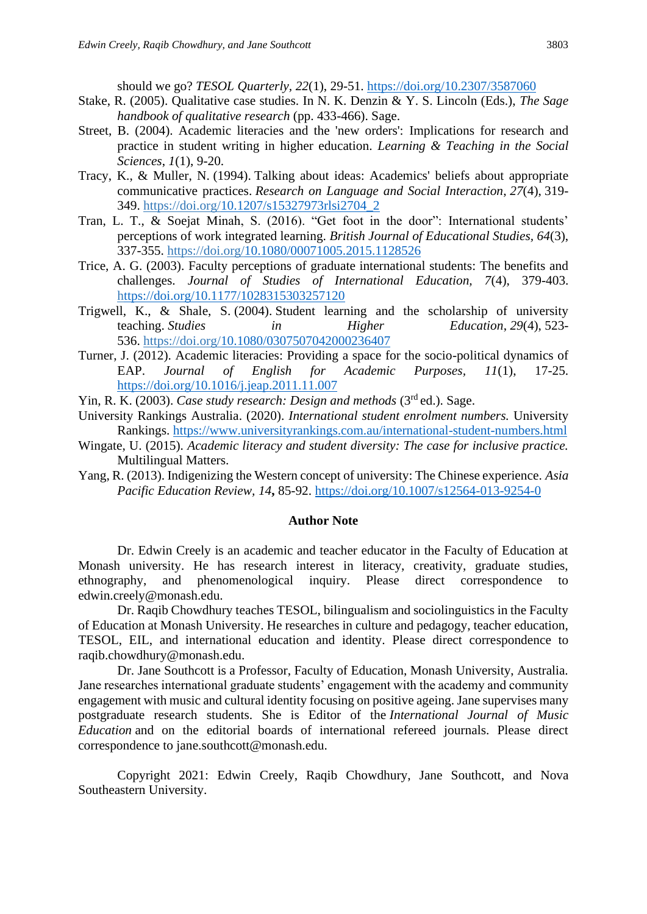should we go? *TESOL Quarterly, 22*(1), 29-51.<https://doi.org/10.2307/3587060>

- Stake, R. (2005). Qualitative case studies. In N. K. Denzin & Y. S. Lincoln (Eds.), *The Sage handbook of qualitative research* (pp. 433-466). Sage.
- Street, B. (2004). Academic literacies and the 'new orders': Implications for research and practice in student writing in higher education. *Learning & Teaching in the Social Sciences*, *1*(1), 9-20.
- Tracy, K., & Muller, N. (1994). Talking about ideas: Academics' beliefs about appropriate communicative practices. *Research on Language and Social Interaction*, *27*(4), 319- 349. https://doi.org[/10.1207/s15327973rlsi2704\\_2](https://doi.org/10.1207/s15327973rlsi2704_2)
- Tran, L. T., & Soejat Minah, S. (2016). "Get foot in the door": International students' perceptions of work integrated learning. *British Journal of Educational Studies, 64*(3), 337-355. https://doi.org[/10.1080/00071005.2015.1128526](https://doi.org/10.1080/00071005.2015.1128526)
- Trice, A. G. (2003). Faculty perceptions of graduate international students: The benefits and challenges. *Journal of Studies of International Education, 7*(4), 379-403. [https://doi.org/10.1177/1028315303257120](https://doi.org/10.1177%2F1028315303257120)
- Trigwell, K., & Shale, S. (2004). Student learning and the scholarship of university teaching. *Studies in Higher Education*, *29*(4), 523- 536. https://doi.org[/10.1080/0307507042000236407](https://doi.org/10.1080/0307507042000236407)
- Turner, J. (2012). Academic literacies: Providing a space for the socio-political dynamics of EAP. *Journal of English for Academic Purposes, 11*(1), 17-25. <https://doi.org/10.1016/j.jeap.2011.11.007>

Yin, R. K. (2003). *Case study research: Design and methods* (3<sup>rd</sup> ed.). Sage.

- University Rankings Australia. (2020). *International student enrolment numbers.* University Rankings. <https://www.universityrankings.com.au/international-student-numbers.html>
- Wingate, U. (2015). *Academic literacy and student diversity: The case for inclusive practice.* Multilingual Matters.
- Yang, R. (2013). Indigenizing the Western concept of university: The Chinese experience. *Asia Pacific Education Review, 14***,** 85-92.<https://doi.org/10.1007/s12564-013-9254-0>

#### **Author Note**

Dr. Edwin Creely is an academic and teacher educator in the Faculty of Education at Monash university. He has research interest in literacy, creativity, graduate studies, ethnography, and phenomenological inquiry. Please direct correspondence to edwin.creely@monash.edu.

Dr. Raqib Chowdhury teaches TESOL, bilingualism and sociolinguistics in the Faculty of Education at Monash University. He researches in culture and pedagogy, teacher education, TESOL, EIL, and international education and identity. Please direct correspondence to raqib.chowdhury@monash.edu.

Dr. Jane Southcott is a Professor, Faculty of Education, Monash University, Australia. Jane researches international graduate students' engagement with the academy and community engagement with music and cultural identity focusing on positive ageing. Jane supervises many postgraduate research students. She is Editor of the *International Journal of Music Education* and on the editorial boards of international refereed journals. Please direct correspondence to jane.southcott@monash.edu.

Copyright 2021: Edwin Creely, Raqib Chowdhury, Jane Southcott, and Nova Southeastern University.